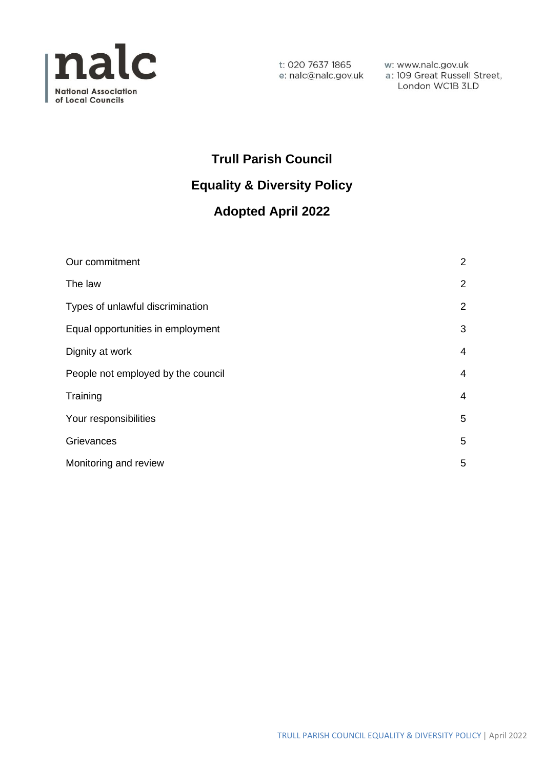

London WC1B 3LD

# **Trull Parish Council Equality & Diversity Policy**

# **Adopted April 2022**

| Our commitment                     | $\overline{2}$ |
|------------------------------------|----------------|
| The law                            | $\overline{2}$ |
| Types of unlawful discrimination   | $\overline{2}$ |
| Equal opportunities in employment  | 3              |
| Dignity at work                    | $\overline{4}$ |
| People not employed by the council | $\overline{4}$ |
| Training                           | $\overline{4}$ |
| Your responsibilities              | 5              |
| Grievances                         | 5              |
| Monitoring and review              | 5              |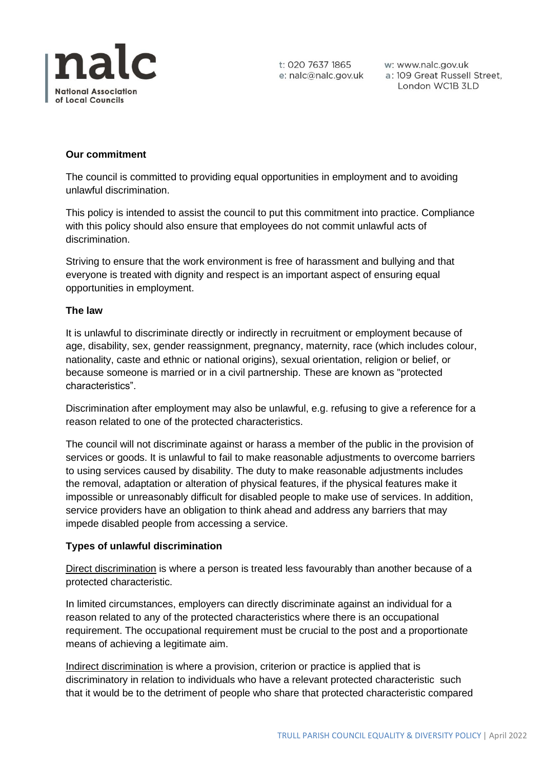

t: 020 7637 1865

t: 020 7637 1865 w: www.nalc.gov.uk<br>e: nalc@nalc.gov.uk a: 109 Great Russell Street, London WC1B 3LD

# **Our commitment**

The council is committed to providing equal opportunities in employment and to avoiding unlawful discrimination.

This policy is intended to assist the council to put this commitment into practice. Compliance with this policy should also ensure that employees do not commit unlawful acts of discrimination.

Striving to ensure that the work environment is free of harassment and bullying and that everyone is treated with dignity and respect is an important aspect of ensuring equal opportunities in employment.

# **The law**

It is unlawful to discriminate directly or indirectly in recruitment or employment because of age, disability, sex, gender reassignment, pregnancy, maternity, race (which includes colour, nationality, caste and ethnic or national origins), sexual orientation, religion or belief, or because someone is married or in a civil partnership. These are known as "protected characteristics".

Discrimination after employment may also be unlawful, e.g. refusing to give a reference for a reason related to one of the protected characteristics.

The council will not discriminate against or harass a member of the public in the provision of services or goods. It is unlawful to fail to make reasonable adjustments to overcome barriers to using services caused by disability. The duty to make reasonable adjustments includes the removal, adaptation or alteration of physical features, if the physical features make it impossible or unreasonably difficult for disabled people to make use of services. In addition, service providers have an obligation to think ahead and address any barriers that may impede disabled people from accessing a service.

# **Types of unlawful discrimination**

Direct discrimination is where a person is treated less favourably than another because of a protected characteristic.

In limited circumstances, employers can directly discriminate against an individual for a reason related to any of the protected characteristics where there is an occupational requirement. The occupational requirement must be crucial to the post and a proportionate means of achieving a legitimate aim.

Indirect discrimination is where a provision, criterion or practice is applied that is discriminatory in relation to individuals who have a relevant protected characteristic such that it would be to the detriment of people who share that protected characteristic compared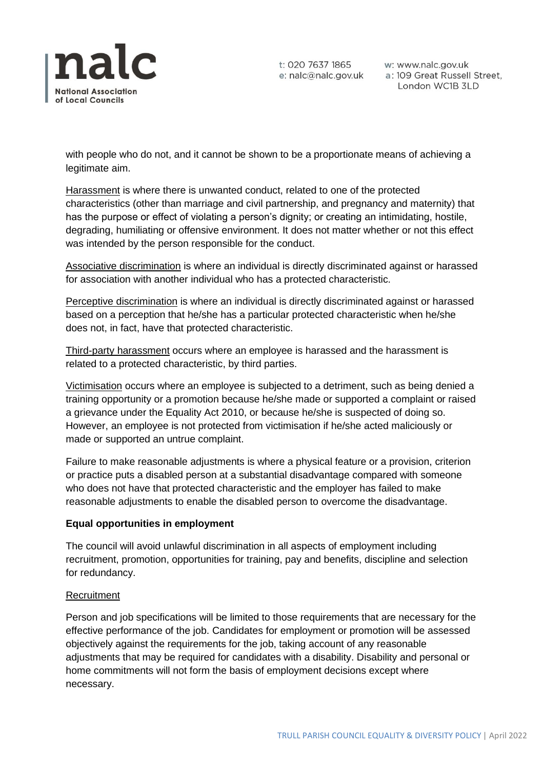

t: 020 7637 1865

t: 020 7637 1865 w: www.nalc.gov.uk<br>e: nalc@nalc.gov.uk a: 109 Great Russell Street, London WC1B 3LD

with people who do not, and it cannot be shown to be a proportionate means of achieving a legitimate aim.

Harassment is where there is unwanted conduct, related to one of the protected characteristics (other than marriage and civil partnership, and pregnancy and maternity) that has the purpose or effect of violating a person's dignity; or creating an intimidating, hostile, degrading, humiliating or offensive environment. It does not matter whether or not this effect was intended by the person responsible for the conduct.

Associative discrimination is where an individual is directly discriminated against or harassed for association with another individual who has a protected characteristic.

Perceptive discrimination is where an individual is directly discriminated against or harassed based on a perception that he/she has a particular protected characteristic when he/she does not, in fact, have that protected characteristic.

Third-party harassment occurs where an employee is harassed and the harassment is related to a protected characteristic, by third parties.

Victimisation occurs where an employee is subjected to a detriment, such as being denied a training opportunity or a promotion because he/she made or supported a complaint or raised a grievance under the Equality Act 2010, or because he/she is suspected of doing so. However, an employee is not protected from victimisation if he/she acted maliciously or made or supported an untrue complaint.

Failure to make reasonable adjustments is where a physical feature or a provision, criterion or practice puts a disabled person at a substantial disadvantage compared with someone who does not have that protected characteristic and the employer has failed to make reasonable adjustments to enable the disabled person to overcome the disadvantage.

# **Equal opportunities in employment**

The council will avoid unlawful discrimination in all aspects of employment including recruitment, promotion, opportunities for training, pay and benefits, discipline and selection for redundancy.

# **Recruitment**

Person and job specifications will be limited to those requirements that are necessary for the effective performance of the job. Candidates for employment or promotion will be assessed objectively against the requirements for the job, taking account of any reasonable adjustments that may be required for candidates with a disability. Disability and personal or home commitments will not form the basis of employment decisions except where necessary.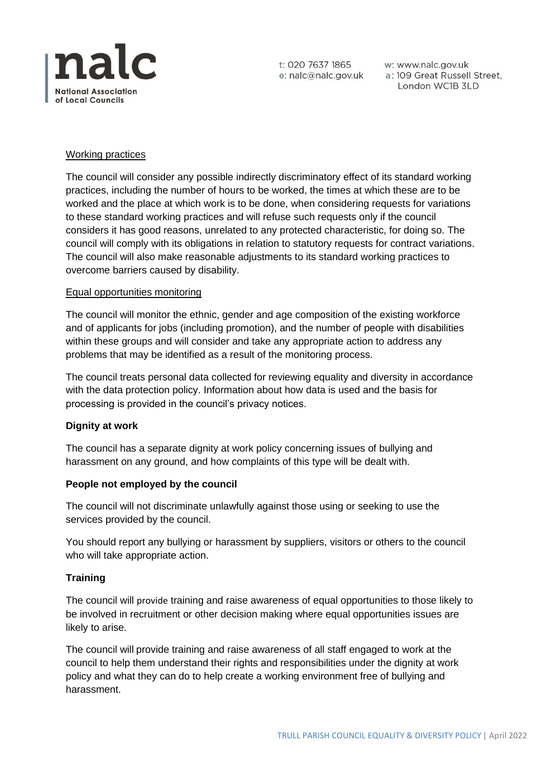

t: 020 7637 1865

t: 020 7637 1865 w: www.nalc.gov.uk<br>e: nalc@nalc.gov.uk a: 109 Great Russell Street, London WC1B 3LD

# Working practices

The council will consider any possible indirectly discriminatory effect of its standard working practices, including the number of hours to be worked, the times at which these are to be worked and the place at which work is to be done, when considering requests for variations to these standard working practices and will refuse such requests only if the council considers it has good reasons, unrelated to any protected characteristic, for doing so. The council will comply with its obligations in relation to statutory requests for contract variations. The council will also make reasonable adjustments to its standard working practices to overcome barriers caused by disability.

#### Equal opportunities monitoring

The council will monitor the ethnic, gender and age composition of the existing workforce and of applicants for jobs (including promotion), and the number of people with disabilities within these groups and will consider and take any appropriate action to address any problems that may be identified as a result of the monitoring process.

The council treats personal data collected for reviewing equality and diversity in accordance with the data protection policy. Information about how data is used and the basis for processing is provided in the council's privacy notices.

# **Dignity at work**

The council has a separate dignity at work policy concerning issues of bullying and harassment on any ground, and how complaints of this type will be dealt with.

#### **People not employed by the council**

The council will not discriminate unlawfully against those using or seeking to use the services provided by the council.

You should report any bullying or harassment by suppliers, visitors or others to the council who will take appropriate action.

# **Training**

The council will provide training and raise awareness of equal opportunities to those likely to be involved in recruitment or other decision making where equal opportunities issues are likely to arise.

The council will provide training and raise awareness of all staff engaged to work at the council to help them understand their rights and responsibilities under the dignity at work policy and what they can do to help create a working environment free of bullying and harassment.